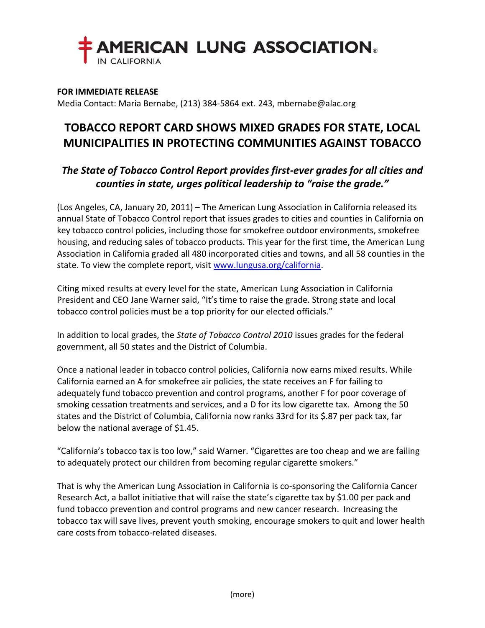

## **FOR IMMEDIATE RELEASE**

Media Contact: Maria Bernabe, (213) 384-5864 ext. 243, mbernabe@alac.org

## **TOBACCO REPORT CARD SHOWS MIXED GRADES FOR STATE, LOCAL MUNICIPALITIES IN PROTECTING COMMUNITIES AGAINST TOBACCO**

## *The State of Tobacco Control Report provides first-ever grades for all cities and counties in state, urges political leadership to "raise the grade."*

(Los Angeles, CA, January 20, 2011) – The American Lung Association in California released its annual State of Tobacco Control report that issues grades to cities and counties in California on key tobacco control policies, including those for smokefree outdoor environments, smokefree housing, and reducing sales of tobacco products. This year for the first time, the American Lung Association in California graded all 480 incorporated cities and towns, and all 58 counties in the state. To view the complete report, visit [www.lungusa.org/california.](http://www.lungusa.org/california)

Citing mixed results at every level for the state, American Lung Association in California President and CEO Jane Warner said, "It's time to raise the grade. Strong state and local tobacco control policies must be a top priority for our elected officials."

In addition to local grades, the *State of Tobacco Control 2010* issues grades for the federal government, all 50 states and the District of Columbia.

Once a national leader in tobacco control policies, California now earns mixed results. While California earned an A for smokefree air policies, the state receives an F for failing to adequately fund tobacco prevention and control programs, another F for poor coverage of smoking cessation treatments and services, and a D for its low cigarette tax. Among the 50 states and the District of Columbia, California now ranks 33rd for its \$.87 per pack tax, far below the national average of \$1.45.

"California's tobacco tax is too low," said Warner. "Cigarettes are too cheap and we are failing to adequately protect our children from becoming regular cigarette smokers."

That is why the American Lung Association in California is co-sponsoring the California Cancer Research Act, a ballot initiative that will raise the state's cigarette tax by \$1.00 per pack and fund tobacco prevention and control programs and new cancer research. Increasing the tobacco tax will save lives, prevent youth smoking, encourage smokers to quit and lower health care costs from tobacco-related diseases.